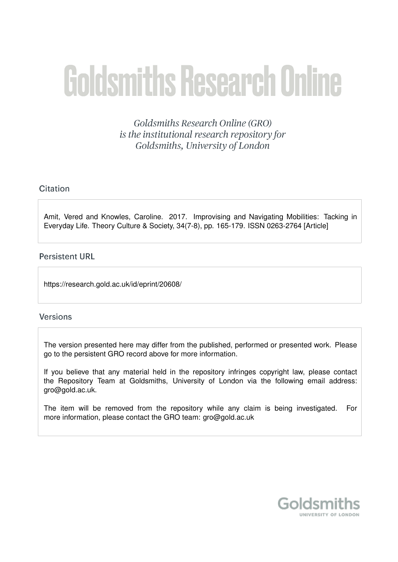# **Goldsmiths Research Online**

Goldsmiths Research Online (GRO) is the institutional research repository for Goldsmiths, University of London

# Citation

Amit, Vered and Knowles, Caroline. 2017. Improvising and Navigating Mobilities: Tacking in Everyday Life. Theory Culture & Society, 34(7-8), pp. 165-179. ISSN 0263-2764 [Article]

## **Persistent URL**

https://research.gold.ac.uk/id/eprint/20608/

## **Versions**

The version presented here may differ from the published, performed or presented work. Please go to the persistent GRO record above for more information.

If you believe that any material held in the repository infringes copyright law, please contact the Repository Team at Goldsmiths, University of London via the following email address: gro@gold.ac.uk.

The item will be removed from the repository while any claim is being investigated. For more information, please contact the GRO team: gro@gold.ac.uk

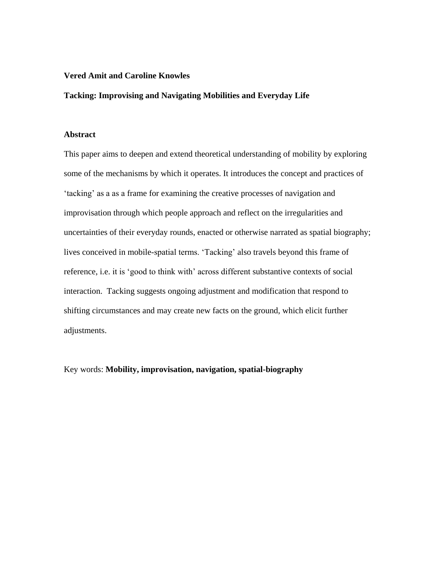### **Vered Amit and Caroline Knowles**

## **Tacking: Improvising and Navigating Mobilities and Everyday Life**

#### **Abstract**

This paper aims to deepen and extend theoretical understanding of mobility by exploring some of the mechanisms by which it operates. It introduces the concept and practices of 'tacking' as a as a frame for examining the creative processes of navigation and improvisation through which people approach and reflect on the irregularities and uncertainties of their everyday rounds, enacted or otherwise narrated as spatial biography; lives conceived in mobile-spatial terms. 'Tacking' also travels beyond this frame of reference, i.e. it is 'good to think with' across different substantive contexts of social interaction. Tacking suggests ongoing adjustment and modification that respond to shifting circumstances and may create new facts on the ground, which elicit further adjustments.

Key words: **Mobility, improvisation, navigation, spatial-biography**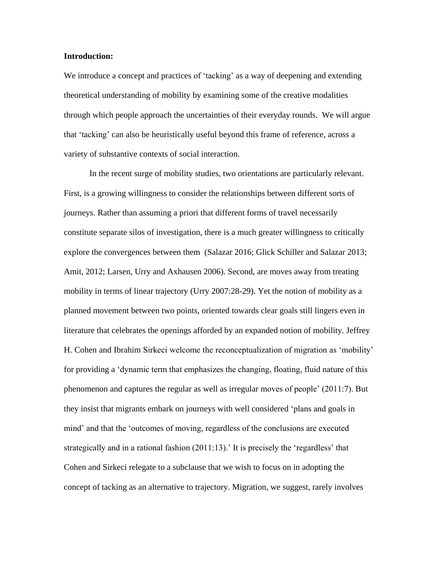#### **Introduction:**

We introduce a concept and practices of 'tacking' as a way of deepening and extending theoretical understanding of mobility by examining some of the creative modalities through which people approach the uncertainties of their everyday rounds. We will argue that 'tacking' can also be heuristically useful beyond this frame of reference, across a variety of substantive contexts of social interaction.

In the recent surge of mobility studies, two orientations are particularly relevant. First, is a growing willingness to consider the relationships between different sorts of journeys. Rather than assuming a priori that different forms of travel necessarily constitute separate silos of investigation, there is a much greater willingness to critically explore the convergences between them (Salazar 2016; Glick Schiller and Salazar 2013; Amit, 2012; Larsen, Urry and Axhausen 2006). Second, are moves away from treating mobility in terms of linear trajectory (Urry 2007:28-29). Yet the notion of mobility as a planned movement between two points, oriented towards clear goals still lingers even in literature that celebrates the openings afforded by an expanded notion of mobility. Jeffrey H. Cohen and Ibrahim Sirkeci welcome the reconceptualization of migration as 'mobility' for providing a 'dynamic term that emphasizes the changing, floating, fluid nature of this phenomenon and captures the regular as well as irregular moves of people' (2011:7). But they insist that migrants embark on journeys with well considered 'plans and goals in mind' and that the 'outcomes of moving, regardless of the conclusions are executed strategically and in a rational fashion (2011:13). It is precisely the 'regardless' that Cohen and Sirkeci relegate to a subclause that we wish to focus on in adopting the concept of tacking as an alternative to trajectory. Migration, we suggest, rarely involves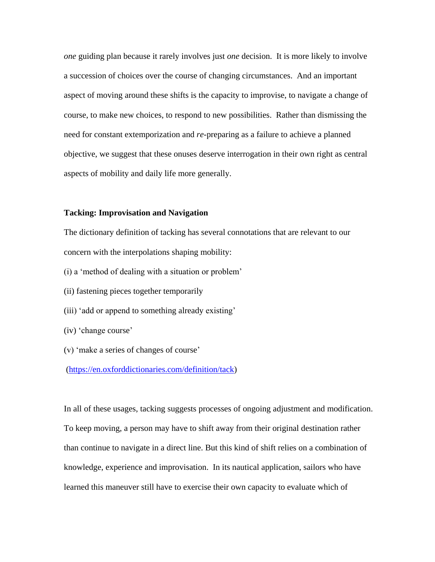*one* guiding plan because it rarely involves just *one* decision. It is more likely to involve a succession of choices over the course of changing circumstances. And an important aspect of moving around these shifts is the capacity to improvise, to navigate a change of course, to make new choices, to respond to new possibilities. Rather than dismissing the need for constant extemporization and *re*-preparing as a failure to achieve a planned objective, we suggest that these onuses deserve interrogation in their own right as central aspects of mobility and daily life more generally.

#### **Tacking: Improvisation and Navigation**

The dictionary definition of tacking has several connotations that are relevant to our concern with the interpolations shaping mobility:

- (i) a 'method of dealing with a situation or problem'
- (ii) fastening pieces together temporarily
- (iii) 'add or append to something already existing'
- (iv) 'change course'
- (v) 'make a series of changes of course'

[\(https://en.oxforddictionaries.com/definition/tack\)](https://en.oxforddictionaries.com/definition/tack)

In all of these usages, tacking suggests processes of ongoing adjustment and modification. To keep moving, a person may have to shift away from their original destination rather than continue to navigate in a direct line. But this kind of shift relies on a combination of knowledge, experience and improvisation. In its nautical application, sailors who have learned this maneuver still have to exercise their own capacity to evaluate which of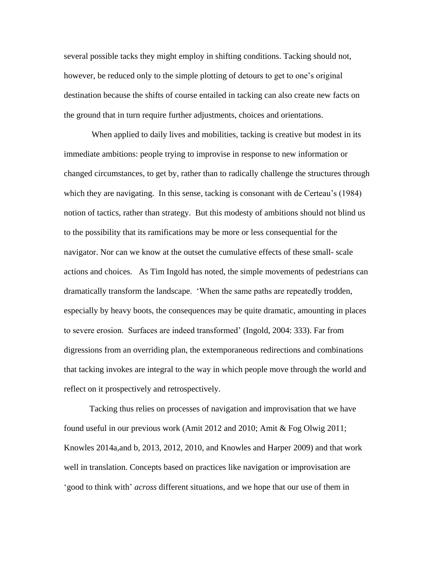several possible tacks they might employ in shifting conditions. Tacking should not, however, be reduced only to the simple plotting of detours to get to one's original destination because the shifts of course entailed in tacking can also create new facts on the ground that in turn require further adjustments, choices and orientations.

When applied to daily lives and mobilities, tacking is creative but modest in its immediate ambitions: people trying to improvise in response to new information or changed circumstances, to get by, rather than to radically challenge the structures through which they are navigating. In this sense, tacking is consonant with de Certeau's (1984) notion of tactics, rather than strategy. But this modesty of ambitions should not blind us to the possibility that its ramifications may be more or less consequential for the navigator. Nor can we know at the outset the cumulative effects of these small- scale actions and choices. As Tim Ingold has noted, the simple movements of pedestrians can dramatically transform the landscape. 'When the same paths are repeatedly trodden, especially by heavy boots, the consequences may be quite dramatic, amounting in places to severe erosion. Surfaces are indeed transformed' (Ingold, 2004: 333). Far from digressions from an overriding plan, the extemporaneous redirections and combinations that tacking invokes are integral to the way in which people move through the world and reflect on it prospectively and retrospectively.

Tacking thus relies on processes of navigation and improvisation that we have found useful in our previous work (Amit 2012 and 2010; Amit & Fog Olwig 2011; Knowles 2014a,and b, 2013, 2012, 2010, and Knowles and Harper 2009) and that work well in translation. Concepts based on practices like navigation or improvisation are 'good to think with' *across* different situations, and we hope that our use of them in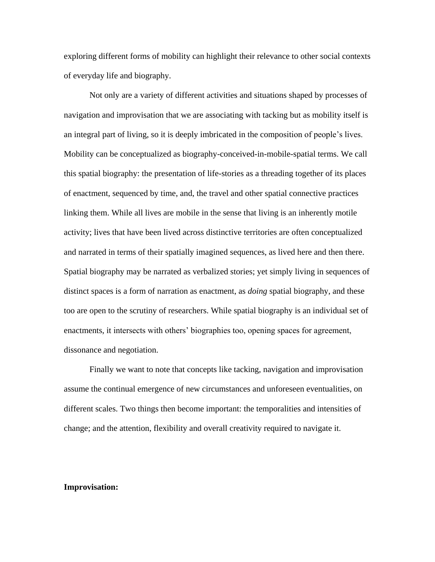exploring different forms of mobility can highlight their relevance to other social contexts of everyday life and biography.

Not only are a variety of different activities and situations shaped by processes of navigation and improvisation that we are associating with tacking but as mobility itself is an integral part of living, so it is deeply imbricated in the composition of people's lives. Mobility can be conceptualized as biography-conceived-in-mobile-spatial terms. We call this spatial biography: the presentation of life-stories as a threading together of its places of enactment, sequenced by time, and, the travel and other spatial connective practices linking them. While all lives are mobile in the sense that living is an inherently motile activity; lives that have been lived across distinctive territories are often conceptualized and narrated in terms of their spatially imagined sequences, as lived here and then there. Spatial biography may be narrated as verbalized stories; yet simply living in sequences of distinct spaces is a form of narration as enactment, as *doing* spatial biography, and these too are open to the scrutiny of researchers. While spatial biography is an individual set of enactments, it intersects with others' biographies too, opening spaces for agreement, dissonance and negotiation.

Finally we want to note that concepts like tacking, navigation and improvisation assume the continual emergence of new circumstances and unforeseen eventualities, on different scales. Two things then become important: the temporalities and intensities of change; and the attention, flexibility and overall creativity required to navigate it.

#### **Improvisation:**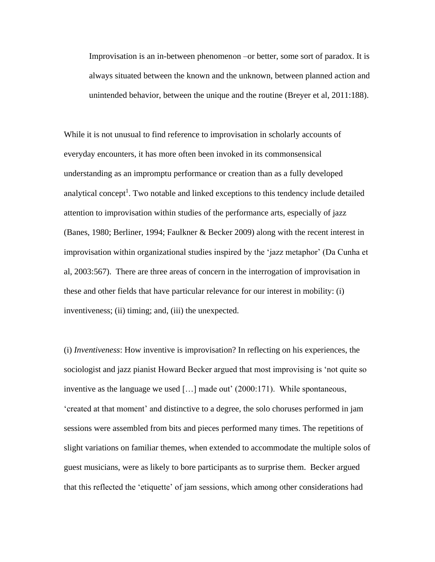Improvisation is an in-between phenomenon –or better, some sort of paradox. It is always situated between the known and the unknown, between planned action and unintended behavior, between the unique and the routine (Breyer et al, 2011:188).

While it is not unusual to find reference to improvisation in scholarly accounts of everyday encounters, it has more often been invoked in its commonsensical understanding as an impromptu performance or creation than as a fully developed analytical concept<sup>1</sup>. Two notable and linked exceptions to this tendency include detailed attention to improvisation within studies of the performance arts, especially of jazz (Banes, 1980; Berliner, 1994; Faulkner & Becker 2009) along with the recent interest in improvisation within organizational studies inspired by the 'jazz metaphor' (Da Cunha et al, 2003:567). There are three areas of concern in the interrogation of improvisation in these and other fields that have particular relevance for our interest in mobility: (i) inventiveness; (ii) timing; and, (iii) the unexpected.

(i) *Inventiveness*: How inventive is improvisation? In reflecting on his experiences, the sociologist and jazz pianist Howard Becker argued that most improvising is 'not quite so inventive as the language we used […] made out' (2000:171). While spontaneous, 'created at that moment' and distinctive to a degree, the solo choruses performed in jam sessions were assembled from bits and pieces performed many times. The repetitions of slight variations on familiar themes, when extended to accommodate the multiple solos of guest musicians, were as likely to bore participants as to surprise them. Becker argued that this reflected the 'etiquette' of jam sessions, which among other considerations had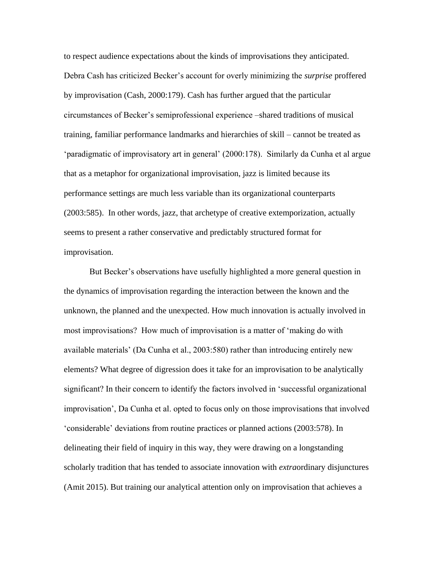to respect audience expectations about the kinds of improvisations they anticipated. Debra Cash has criticized Becker's account for overly minimizing the *surprise* proffered by improvisation (Cash, 2000:179). Cash has further argued that the particular circumstances of Becker's semiprofessional experience –shared traditions of musical training, familiar performance landmarks and hierarchies of skill – cannot be treated as 'paradigmatic of improvisatory art in general' (2000:178). Similarly da Cunha et al argue that as a metaphor for organizational improvisation, jazz is limited because its performance settings are much less variable than its organizational counterparts (2003:585). In other words, jazz, that archetype of creative extemporization, actually seems to present a rather conservative and predictably structured format for improvisation.

But Becker's observations have usefully highlighted a more general question in the dynamics of improvisation regarding the interaction between the known and the unknown, the planned and the unexpected. How much innovation is actually involved in most improvisations? How much of improvisation is a matter of 'making do with available materials' (Da Cunha et al., 2003:580) rather than introducing entirely new elements? What degree of digression does it take for an improvisation to be analytically significant? In their concern to identify the factors involved in 'successful organizational improvisation', Da Cunha et al. opted to focus only on those improvisations that involved 'considerable' deviations from routine practices or planned actions (2003:578). In delineating their field of inquiry in this way, they were drawing on a longstanding scholarly tradition that has tended to associate innovation with *extra*ordinary disjunctures (Amit 2015). But training our analytical attention only on improvisation that achieves a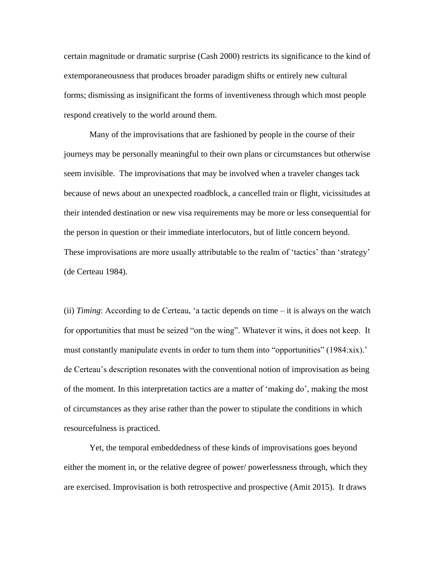certain magnitude or dramatic surprise (Cash 2000) restricts its significance to the kind of extemporaneousness that produces broader paradigm shifts or entirely new cultural forms; dismissing as insignificant the forms of inventiveness through which most people respond creatively to the world around them.

Many of the improvisations that are fashioned by people in the course of their journeys may be personally meaningful to their own plans or circumstances but otherwise seem invisible. The improvisations that may be involved when a traveler changes tack because of news about an unexpected roadblock, a cancelled train or flight, vicissitudes at their intended destination or new visa requirements may be more or less consequential for the person in question or their immediate interlocutors, but of little concern beyond. These improvisations are more usually attributable to the realm of 'tactics' than 'strategy' (de Certeau 1984).

(ii) *Timing*: According to de Certeau, 'a tactic depends on time – it is always on the watch for opportunities that must be seized "on the wing". Whatever it wins, it does not keep. It must constantly manipulate events in order to turn them into "opportunities" (1984:xix).' de Certeau's description resonates with the conventional notion of improvisation as being of the moment. In this interpretation tactics are a matter of 'making do', making the most of circumstances as they arise rather than the power to stipulate the conditions in which resourcefulness is practiced.

Yet, the temporal embeddedness of these kinds of improvisations goes beyond either the moment in, or the relative degree of power/ powerlessness through, which they are exercised. Improvisation is both retrospective and prospective (Amit 2015). It draws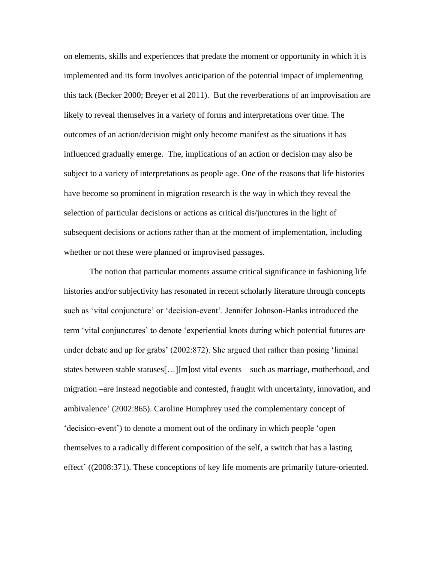on elements, skills and experiences that predate the moment or opportunity in which it is implemented and its form involves anticipation of the potential impact of implementing this tack (Becker 2000; Breyer et al 2011). But the reverberations of an improvisation are likely to reveal themselves in a variety of forms and interpretations over time. The outcomes of an action/decision might only become manifest as the situations it has influenced gradually emerge. The, implications of an action or decision may also be subject to a variety of interpretations as people age. One of the reasons that life histories have become so prominent in migration research is the way in which they reveal the selection of particular decisions or actions as critical dis/junctures in the light of subsequent decisions or actions rather than at the moment of implementation, including whether or not these were planned or improvised passages.

The notion that particular moments assume critical significance in fashioning life histories and/or subjectivity has resonated in recent scholarly literature through concepts such as 'vital conjuncture' or 'decision-event'. Jennifer Johnson-Hanks introduced the term 'vital conjunctures' to denote 'experiential knots during which potential futures are under debate and up for grabs' (2002:872). She argued that rather than posing 'liminal states between stable statuses[…][m]ost vital events – such as marriage, motherhood, and migration –are instead negotiable and contested, fraught with uncertainty, innovation, and ambivalence' (2002:865). Caroline Humphrey used the complementary concept of 'decision-event') to denote a moment out of the ordinary in which people 'open themselves to a radically different composition of the self, a switch that has a lasting effect' ((2008:371). These conceptions of key life moments are primarily future-oriented.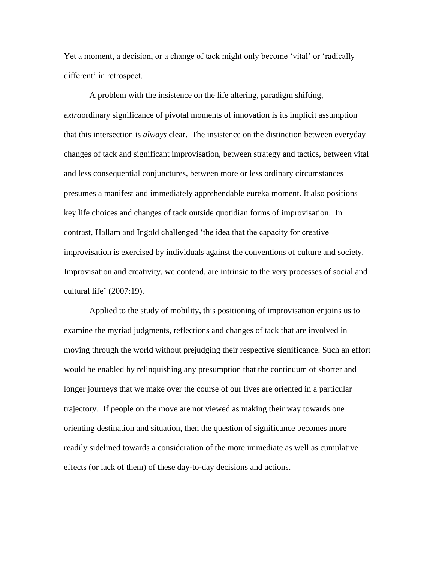Yet a moment, a decision, or a change of tack might only become 'vital' or 'radically different' in retrospect.

A problem with the insistence on the life altering, paradigm shifting, *extra*ordinary significance of pivotal moments of innovation is its implicit assumption that this intersection is *always* clear. The insistence on the distinction between everyday changes of tack and significant improvisation, between strategy and tactics, between vital and less consequential conjunctures, between more or less ordinary circumstances presumes a manifest and immediately apprehendable eureka moment. It also positions key life choices and changes of tack outside quotidian forms of improvisation. In contrast, Hallam and Ingold challenged 'the idea that the capacity for creative improvisation is exercised by individuals against the conventions of culture and society. Improvisation and creativity, we contend, are intrinsic to the very processes of social and cultural life' (2007:19).

Applied to the study of mobility, this positioning of improvisation enjoins us to examine the myriad judgments, reflections and changes of tack that are involved in moving through the world without prejudging their respective significance. Such an effort would be enabled by relinquishing any presumption that the continuum of shorter and longer journeys that we make over the course of our lives are oriented in a particular trajectory. If people on the move are not viewed as making their way towards one orienting destination and situation, then the question of significance becomes more readily sidelined towards a consideration of the more immediate as well as cumulative effects (or lack of them) of these day-to-day decisions and actions.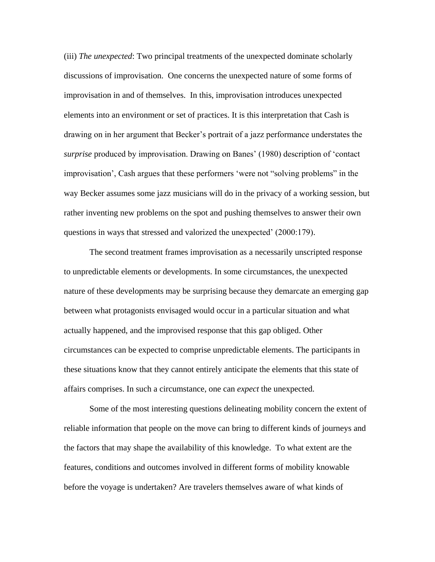(iii) *The unexpected*: Two principal treatments of the unexpected dominate scholarly discussions of improvisation. One concerns the unexpected nature of some forms of improvisation in and of themselves. In this, improvisation introduces unexpected elements into an environment or set of practices. It is this interpretation that Cash is drawing on in her argument that Becker's portrait of a jazz performance understates the *surprise* produced by improvisation. Drawing on Banes' (1980) description of 'contact improvisation', Cash argues that these performers 'were not "solving problems" in the way Becker assumes some jazz musicians will do in the privacy of a working session, but rather inventing new problems on the spot and pushing themselves to answer their own questions in ways that stressed and valorized the unexpected' (2000:179).

The second treatment frames improvisation as a necessarily unscripted response to unpredictable elements or developments. In some circumstances, the unexpected nature of these developments may be surprising because they demarcate an emerging gap between what protagonists envisaged would occur in a particular situation and what actually happened, and the improvised response that this gap obliged. Other circumstances can be expected to comprise unpredictable elements. The participants in these situations know that they cannot entirely anticipate the elements that this state of affairs comprises. In such a circumstance, one can *expect* the unexpected.

Some of the most interesting questions delineating mobility concern the extent of reliable information that people on the move can bring to different kinds of journeys and the factors that may shape the availability of this knowledge. To what extent are the features, conditions and outcomes involved in different forms of mobility knowable before the voyage is undertaken? Are travelers themselves aware of what kinds of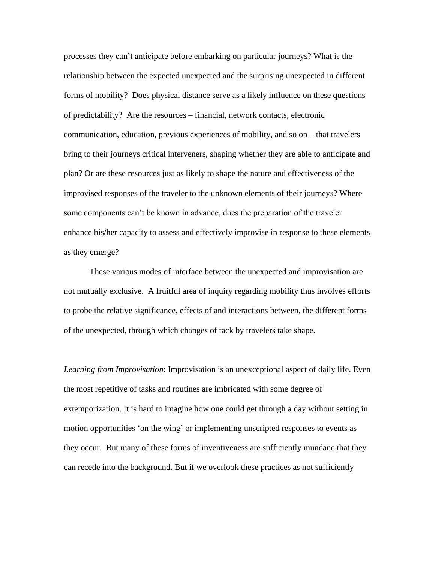processes they can't anticipate before embarking on particular journeys? What is the relationship between the expected unexpected and the surprising unexpected in different forms of mobility? Does physical distance serve as a likely influence on these questions of predictability? Are the resources – financial, network contacts, electronic communication, education, previous experiences of mobility, and so on – that travelers bring to their journeys critical interveners, shaping whether they are able to anticipate and plan? Or are these resources just as likely to shape the nature and effectiveness of the improvised responses of the traveler to the unknown elements of their journeys? Where some components can't be known in advance, does the preparation of the traveler enhance his/her capacity to assess and effectively improvise in response to these elements as they emerge?

These various modes of interface between the unexpected and improvisation are not mutually exclusive. A fruitful area of inquiry regarding mobility thus involves efforts to probe the relative significance, effects of and interactions between, the different forms of the unexpected, through which changes of tack by travelers take shape.

*Learning from Improvisation*: Improvisation is an unexceptional aspect of daily life. Even the most repetitive of tasks and routines are imbricated with some degree of extemporization. It is hard to imagine how one could get through a day without setting in motion opportunities 'on the wing' or implementing unscripted responses to events as they occur. But many of these forms of inventiveness are sufficiently mundane that they can recede into the background. But if we overlook these practices as not sufficiently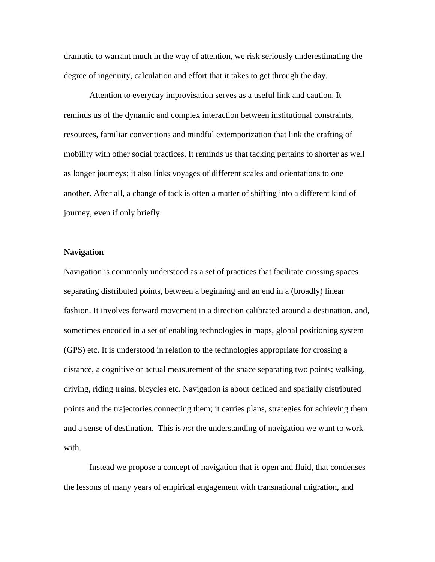dramatic to warrant much in the way of attention, we risk seriously underestimating the degree of ingenuity, calculation and effort that it takes to get through the day.

Attention to everyday improvisation serves as a useful link and caution. It reminds us of the dynamic and complex interaction between institutional constraints, resources, familiar conventions and mindful extemporization that link the crafting of mobility with other social practices. It reminds us that tacking pertains to shorter as well as longer journeys; it also links voyages of different scales and orientations to one another. After all, a change of tack is often a matter of shifting into a different kind of journey, even if only briefly.

#### **Navigation**

Navigation is commonly understood as a set of practices that facilitate crossing spaces separating distributed points, between a beginning and an end in a (broadly) linear fashion. It involves forward movement in a direction calibrated around a destination, and, sometimes encoded in a set of enabling technologies in maps, global positioning system (GPS) etc. It is understood in relation to the technologies appropriate for crossing a distance, a cognitive or actual measurement of the space separating two points; walking, driving, riding trains, bicycles etc. Navigation is about defined and spatially distributed points and the trajectories connecting them; it carries plans, strategies for achieving them and a sense of destination. This is *not* the understanding of navigation we want to work with.

Instead we propose a concept of navigation that is open and fluid, that condenses the lessons of many years of empirical engagement with transnational migration, and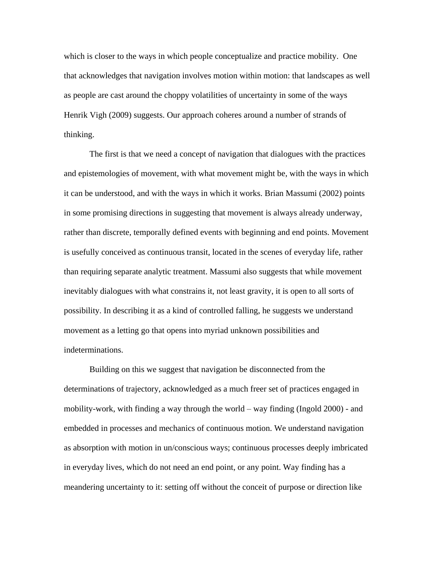which is closer to the ways in which people conceptualize and practice mobility. One that acknowledges that navigation involves motion within motion: that landscapes as well as people are cast around the choppy volatilities of uncertainty in some of the ways Henrik Vigh (2009) suggests. Our approach coheres around a number of strands of thinking.

The first is that we need a concept of navigation that dialogues with the practices and epistemologies of movement, with what movement might be, with the ways in which it can be understood, and with the ways in which it works. Brian Massumi (2002) points in some promising directions in suggesting that movement is always already underway, rather than discrete, temporally defined events with beginning and end points. Movement is usefully conceived as continuous transit, located in the scenes of everyday life, rather than requiring separate analytic treatment. Massumi also suggests that while movement inevitably dialogues with what constrains it, not least gravity, it is open to all sorts of possibility. In describing it as a kind of controlled falling, he suggests we understand movement as a letting go that opens into myriad unknown possibilities and indeterminations.

Building on this we suggest that navigation be disconnected from the determinations of trajectory, acknowledged as a much freer set of practices engaged in mobility-work, with finding a way through the world – way finding (Ingold 2000) - and embedded in processes and mechanics of continuous motion. We understand navigation as absorption with motion in un/conscious ways; continuous processes deeply imbricated in everyday lives, which do not need an end point, or any point. Way finding has a meandering uncertainty to it: setting off without the conceit of purpose or direction like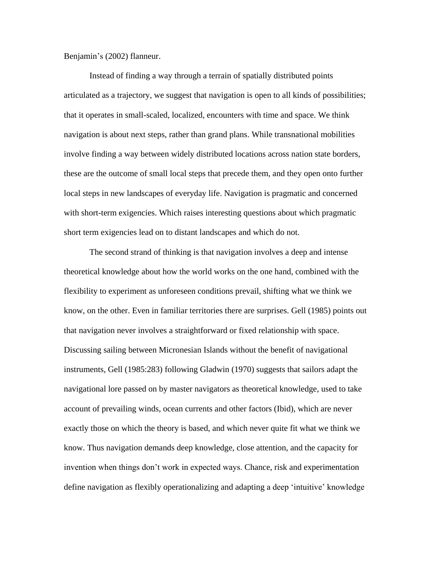Benjamin's (2002) flanneur.

Instead of finding a way through a terrain of spatially distributed points articulated as a trajectory, we suggest that navigation is open to all kinds of possibilities; that it operates in small-scaled, localized, encounters with time and space. We think navigation is about next steps, rather than grand plans. While transnational mobilities involve finding a way between widely distributed locations across nation state borders, these are the outcome of small local steps that precede them, and they open onto further local steps in new landscapes of everyday life. Navigation is pragmatic and concerned with short-term exigencies. Which raises interesting questions about which pragmatic short term exigencies lead on to distant landscapes and which do not.

The second strand of thinking is that navigation involves a deep and intense theoretical knowledge about how the world works on the one hand, combined with the flexibility to experiment as unforeseen conditions prevail, shifting what we think we know, on the other. Even in familiar territories there are surprises. Gell (1985) points out that navigation never involves a straightforward or fixed relationship with space. Discussing sailing between Micronesian Islands without the benefit of navigational instruments, Gell (1985:283) following Gladwin (1970) suggests that sailors adapt the navigational lore passed on by master navigators as theoretical knowledge, used to take account of prevailing winds, ocean currents and other factors (Ibid), which are never exactly those on which the theory is based, and which never quite fit what we think we know. Thus navigation demands deep knowledge, close attention, and the capacity for invention when things don't work in expected ways. Chance, risk and experimentation define navigation as flexibly operationalizing and adapting a deep 'intuitive' knowledge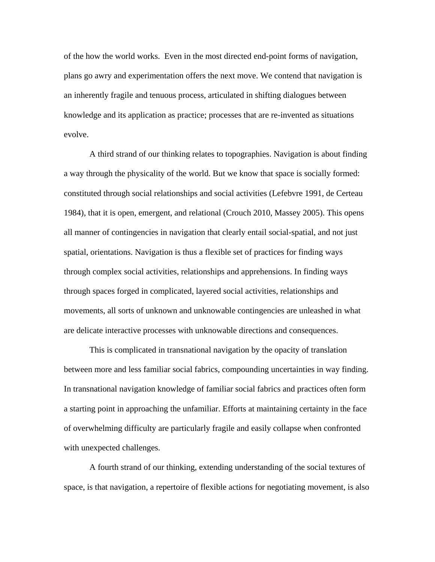of the how the world works. Even in the most directed end-point forms of navigation, plans go awry and experimentation offers the next move. We contend that navigation is an inherently fragile and tenuous process, articulated in shifting dialogues between knowledge and its application as practice; processes that are re-invented as situations evolve.

A third strand of our thinking relates to topographies. Navigation is about finding a way through the physicality of the world. But we know that space is socially formed: constituted through social relationships and social activities (Lefebvre 1991, de Certeau 1984), that it is open, emergent, and relational (Crouch 2010, Massey 2005). This opens all manner of contingencies in navigation that clearly entail social-spatial, and not just spatial, orientations. Navigation is thus a flexible set of practices for finding ways through complex social activities, relationships and apprehensions. In finding ways through spaces forged in complicated, layered social activities, relationships and movements, all sorts of unknown and unknowable contingencies are unleashed in what are delicate interactive processes with unknowable directions and consequences.

This is complicated in transnational navigation by the opacity of translation between more and less familiar social fabrics, compounding uncertainties in way finding. In transnational navigation knowledge of familiar social fabrics and practices often form a starting point in approaching the unfamiliar. Efforts at maintaining certainty in the face of overwhelming difficulty are particularly fragile and easily collapse when confronted with unexpected challenges.

A fourth strand of our thinking, extending understanding of the social textures of space, is that navigation, a repertoire of flexible actions for negotiating movement, is also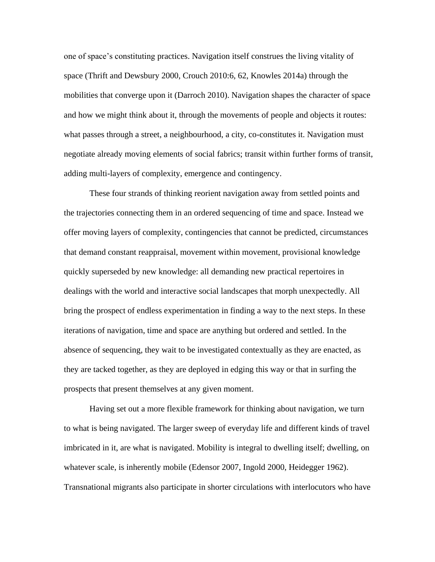one of space's constituting practices. Navigation itself construes the living vitality of space (Thrift and Dewsbury 2000, Crouch 2010:6, 62, Knowles 2014a) through the mobilities that converge upon it (Darroch 2010). Navigation shapes the character of space and how we might think about it, through the movements of people and objects it routes: what passes through a street, a neighbourhood, a city, co-constitutes it. Navigation must negotiate already moving elements of social fabrics; transit within further forms of transit, adding multi-layers of complexity, emergence and contingency.

These four strands of thinking reorient navigation away from settled points and the trajectories connecting them in an ordered sequencing of time and space. Instead we offer moving layers of complexity, contingencies that cannot be predicted, circumstances that demand constant reappraisal, movement within movement, provisional knowledge quickly superseded by new knowledge: all demanding new practical repertoires in dealings with the world and interactive social landscapes that morph unexpectedly. All bring the prospect of endless experimentation in finding a way to the next steps. In these iterations of navigation, time and space are anything but ordered and settled. In the absence of sequencing, they wait to be investigated contextually as they are enacted, as they are tacked together, as they are deployed in edging this way or that in surfing the prospects that present themselves at any given moment.

Having set out a more flexible framework for thinking about navigation, we turn to what is being navigated. The larger sweep of everyday life and different kinds of travel imbricated in it, are what is navigated. Mobility is integral to dwelling itself; dwelling, on whatever scale, is inherently mobile (Edensor 2007, Ingold 2000, Heidegger 1962). Transnational migrants also participate in shorter circulations with interlocutors who have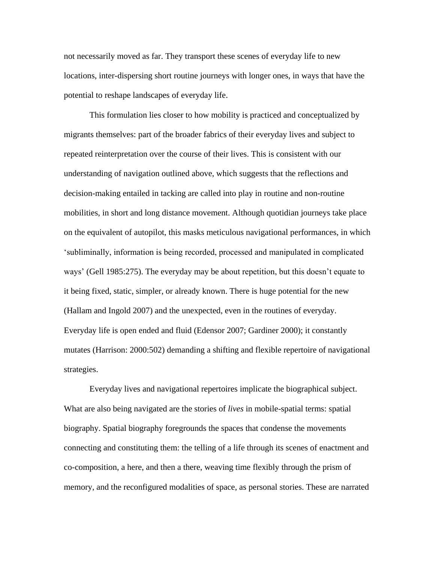not necessarily moved as far. They transport these scenes of everyday life to new locations, inter-dispersing short routine journeys with longer ones, in ways that have the potential to reshape landscapes of everyday life.

This formulation lies closer to how mobility is practiced and conceptualized by migrants themselves: part of the broader fabrics of their everyday lives and subject to repeated reinterpretation over the course of their lives. This is consistent with our understanding of navigation outlined above, which suggests that the reflections and decision-making entailed in tacking are called into play in routine and non-routine mobilities, in short and long distance movement. Although quotidian journeys take place on the equivalent of autopilot, this masks meticulous navigational performances, in which 'subliminally, information is being recorded, processed and manipulated in complicated ways' (Gell 1985:275). The everyday may be about repetition, but this doesn't equate to it being fixed, static, simpler, or already known. There is huge potential for the new (Hallam and Ingold 2007) and the unexpected, even in the routines of everyday. Everyday life is open ended and fluid (Edensor 2007; Gardiner 2000); it constantly mutates (Harrison: 2000:502) demanding a shifting and flexible repertoire of navigational strategies.

Everyday lives and navigational repertoires implicate the biographical subject. What are also being navigated are the stories of *lives* in mobile-spatial terms: spatial biography. Spatial biography foregrounds the spaces that condense the movements connecting and constituting them: the telling of a life through its scenes of enactment and co-composition, a here, and then a there, weaving time flexibly through the prism of memory, and the reconfigured modalities of space, as personal stories. These are narrated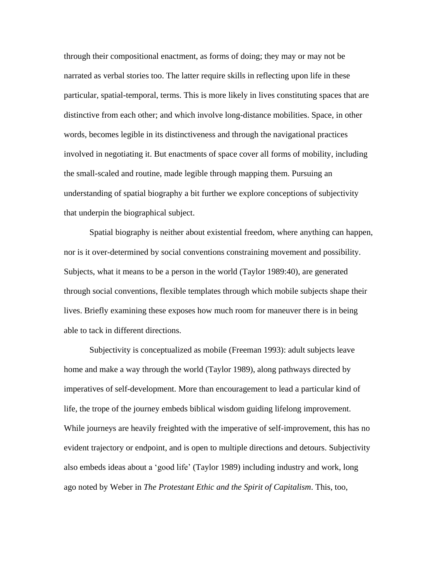through their compositional enactment, as forms of doing; they may or may not be narrated as verbal stories too. The latter require skills in reflecting upon life in these particular, spatial-temporal, terms. This is more likely in lives constituting spaces that are distinctive from each other; and which involve long-distance mobilities. Space, in other words, becomes legible in its distinctiveness and through the navigational practices involved in negotiating it. But enactments of space cover all forms of mobility, including the small-scaled and routine, made legible through mapping them. Pursuing an understanding of spatial biography a bit further we explore conceptions of subjectivity that underpin the biographical subject.

Spatial biography is neither about existential freedom, where anything can happen, nor is it over-determined by social conventions constraining movement and possibility. Subjects, what it means to be a person in the world (Taylor 1989:40), are generated through social conventions, flexible templates through which mobile subjects shape their lives. Briefly examining these exposes how much room for maneuver there is in being able to tack in different directions.

Subjectivity is conceptualized as mobile (Freeman 1993): adult subjects leave home and make a way through the world (Taylor 1989), along pathways directed by imperatives of self-development. More than encouragement to lead a particular kind of life, the trope of the journey embeds biblical wisdom guiding lifelong improvement. While journeys are heavily freighted with the imperative of self-improvement, this has no evident trajectory or endpoint, and is open to multiple directions and detours. Subjectivity also embeds ideas about a 'good life' (Taylor 1989) including industry and work, long ago noted by Weber in *The Protestant Ethic and the Spirit of Capitalism*. This, too,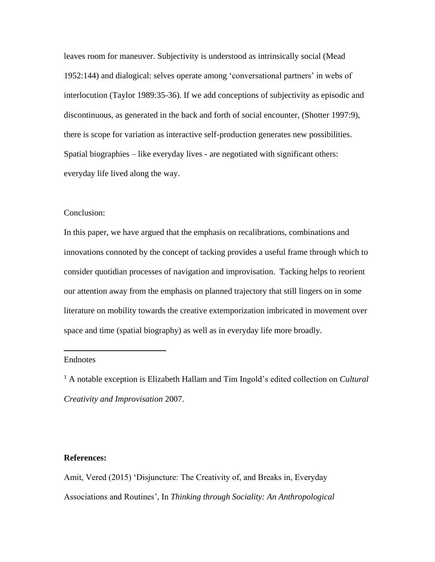leaves room for maneuver. Subjectivity is understood as intrinsically social (Mead 1952:144) and dialogical: selves operate among 'conversational partners' in webs of interlocution (Taylor 1989:35-36). If we add conceptions of subjectivity as episodic and discontinuous, as generated in the back and forth of social encounter, (Shotter 1997:9), there is scope for variation as interactive self-production generates new possibilities. Spatial biographies – like everyday lives - are negotiated with significant others: everyday life lived along the way.

#### Conclusion:

In this paper, we have argued that the emphasis on recalibrations, combinations and innovations connoted by the concept of tacking provides a useful frame through which to consider quotidian processes of navigation and improvisation. Tacking helps to reorient our attention away from the emphasis on planned trajectory that still lingers on in some literature on mobility towards the creative extemporization imbricated in movement over space and time (spatial biography) as well as in everyday life more broadly.

#### Endnotes

 $\overline{a}$ 

<sup>1</sup> A notable exception is Elizabeth Hallam and Tim Ingold's edited collection on *Cultural Creativity and Improvisation* 2007.

#### **References:**

Amit, Vered (2015) 'Disjuncture: The Creativity of, and Breaks in, Everyday Associations and Routines', In *Thinking through Sociality: An Anthropological*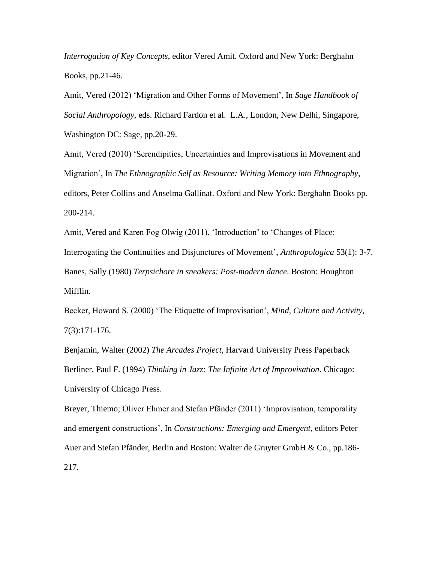*Interrogation of Key Concepts*, editor Vered Amit. Oxford and New York: Berghahn Books, pp.21-46.

Amit, Vered (2012) 'Migration and Other Forms of Movement', In *Sage Handbook of Social Anthropology*, eds. Richard Fardon et al. L.A., London, New Delhi, Singapore, Washington DC: Sage, pp.20-29.

Amit, Vered (2010) 'Serendipities, Uncertainties and Improvisations in Movement and Migration', In *The Ethnographic Self as Resource: Writing Memory into Ethnography*, editors, Peter Collins and Anselma Gallinat. Oxford and New York: Berghahn Books pp. 200-214.

Amit, Vered and Karen Fog Olwig (2011), 'Introduction' to 'Changes of Place: Interrogating the Continuities and Disjunctures of Movement', *Anthropologica* 53(1): 3-7. Banes, Sally (1980) *Terpsichore in sneakers: Post-modern dance*. Boston: Houghton Mifflin.

Becker, Howard S. (2000) 'The Etiquette of Improvisation', *Mind, Culture and Activity*, 7(3):171-176.

Benjamin, Walter (2002) *The Arcades Project*, Harvard University Press Paperback Berliner, Paul F. (1994) *Thinking in Jazz: The Infinite Art of Improvisation*. Chicago: University of Chicago Press.

Breyer, Thiemo; Oliver Ehmer and Stefan Pfänder (2011) 'Improvisation, temporality and emergent constructions', In *Constructions: Emerging and Emergent*, editors Peter Auer and Stefan Pfänder, Berlin and Boston: Walter de Gruyter GmbH & Co., pp.186- 217.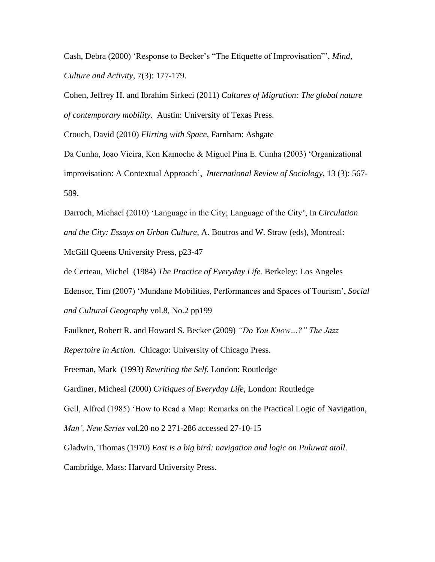Cash, Debra (2000) 'Response to Becker's "The Etiquette of Improvisation"', *Mind, Culture and Activity*, 7(3): 177-179.

Cohen, Jeffrey H. and Ibrahim Sirkeci (2011) *Cultures of Migration: The global nature of contemporary mobility*. Austin: University of Texas Press.

Crouch, David (2010) *Flirting with Space*, Farnham: Ashgate

Da Cunha, Joao Vieira, Ken Kamoche & Miguel Pina E. Cunha (2003) 'Organizational improvisation: A Contextual Approach', *International Review of Sociology*, 13 (3): 567- 589.

Darroch, Michael (2010) 'Language in the City; Language of the City', In *Circulation and the City: Essays on Urban Culture,* A. Boutros and W. Straw (eds)*,* Montreal:

McGill Queens University Press, p23-47

de Certeau, Michel (1984) *The Practice of Everyday Life.* Berkeley: Los Angeles

Edensor, Tim (2007) 'Mundane Mobilities, Performances and Spaces of Tourism', *Social and Cultural Geography* vol.8, No.2 pp199

Faulkner, Robert R. and Howard S. Becker (2009) *"Do You Know…?" The Jazz* 

*Repertoire in Action*. Chicago: University of Chicago Press.

Freeman, Mark (1993) *Rewriting the Self.* London: Routledge

Gardiner, Micheal (2000) *Critiques of Everyday Life*, London: Routledge

Gell, Alfred (1985) 'How to Read a Map: Remarks on the Practical Logic of Navigation,

*Man', New Series* vol.20 no 2 271-286 accessed 27-10-15

Gladwin, Thomas (1970) *East is a big bird: navigation and logic on Puluwat atoll*.

Cambridge, Mass: Harvard University Press.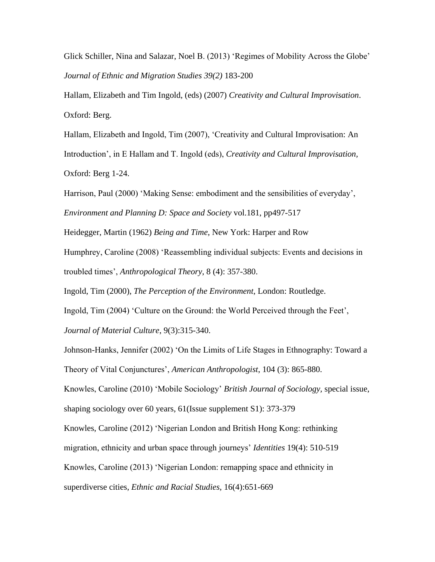Glick Schiller, Nina and Salazar, Noel B. (2013) 'Regimes of Mobility Across the Globe' *Journal of Ethnic and Migration Studies 39(2)* 183-200

Hallam, Elizabeth and Tim Ingold, (eds) (2007) *Creativity and Cultural Improvisation*. Oxford: Berg.

Hallam, Elizabeth and Ingold, Tim (2007), 'Creativity and Cultural Improvisation: An Introduction', in E Hallam and T. Ingold (eds), *Creativity and Cultural Improvisation,* Oxford: Berg 1-24.

Harrison, Paul (2000) 'Making Sense: embodiment and the sensibilities of everyday', *Environment and Planning D: Space and Society* vol.181, pp497-517

Heidegger, Martin (1962) *Being and Time*, New York: Harper and Row

Humphrey, Caroline (2008) 'Reassembling individual subjects: Events and decisions in troubled times', *Anthropological Theory*, 8 (4): 357-380.

Ingold, Tim (2000), *The Perception of the Environment*, London: Routledge.

Ingold, Tim (2004) 'Culture on the Ground: the World Perceived through the Feet', *Journal of Material Culture*, 9(3):315-340.

Johnson-Hanks, Jennifer (2002) 'On the Limits of Life Stages in Ethnography: Toward a Theory of Vital Conjunctures', *American Anthropologist*, 104 (3): 865-880.

Knowles, Caroline (2010) 'Mobile Sociology' *British Journal of Sociology,* special issue, shaping sociology over 60 years, 61(Issue supplement S1): 373-379

Knowles, Caroline (2012) 'Nigerian London and British Hong Kong: rethinking

migration, ethnicity and urban space through journeys' *Identities* 19(4): 510-519

Knowles, Caroline (2013) 'Nigerian London: remapping space and ethnicity in

superdiverse cities, *Ethnic and Racial Studies*, 16(4):651-669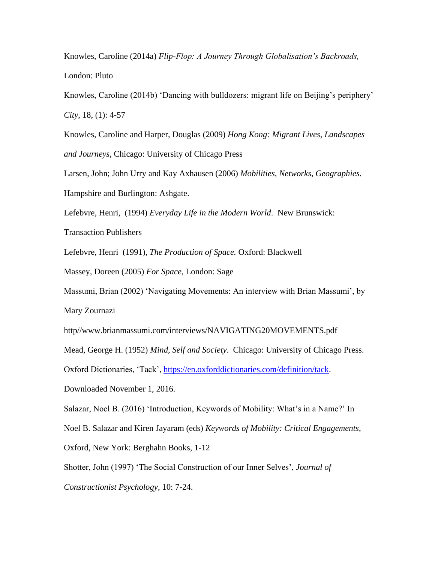Knowles, Caroline (2014a) *Flip-Flop: A Journey Through Globalisation's Backroads,* London: Pluto

Knowles, Caroline (2014b) 'Dancing with bulldozers: migrant life on Beijing's periphery' *City*, 18, (1): 4-57

Knowles, Caroline and Harper, Douglas (2009) *Hong Kong: Migrant Lives, Landscapes and Journeys,* Chicago: University of Chicago Press

Larsen, John; John Urry and Kay Axhausen (2006) *Mobilities, Networks, Geographies*.

Hampshire and Burlington: Ashgate.

Lefebvre, Henri, (1994) *Everyday Life in the Modern World*. New Brunswick:

Transaction Publishers

Lefebvre, Henri (1991), *The Production of Space.* Oxford: Blackwell

Massey, Doreen (2005) *For Space*, London: Sage

Massumi, Brian (2002) 'Navigating Movements: An interview with Brian Massumi', by Mary Zournazi

http//www.brianmassumi.com/interviews/NAVIGATING20MOVEMENTS.pdf

Mead, George H. (1952) *Mind, Self and Society*. Chicago: University of Chicago Press.

Oxford Dictionaries, 'Tack', [https://en.oxforddictionaries.com/definition/tack.](https://en.oxforddictionaries.com/definition/tack)

Downloaded November 1, 2016.

Salazar, Noel B. (2016) 'Introduction, Keywords of Mobility: What's in a Name?' In

Noel B. Salazar and Kiren Jayaram (eds) *Keywords of Mobility: Critical Engagements*,

Oxford, New York: Berghahn Books, 1-12

Shotter, John (1997) 'The Social Construction of our Inner Selves', *Journal of* 

*Constructionist Psychology,* 10: 7-24.